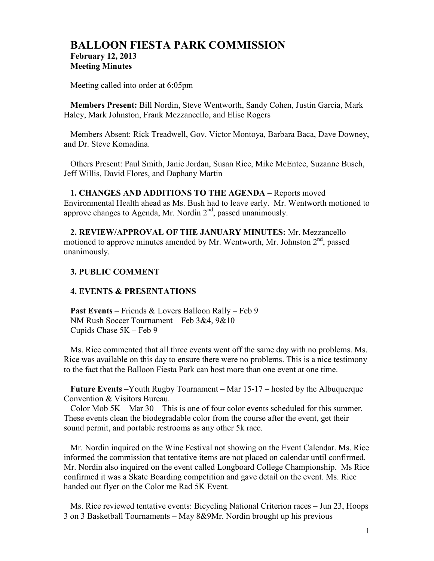# **BALLOON FIESTA PARK COMMISSION February 12, 2013 Meeting Minutes**

Meeting called into order at 6:05pm

**Members Present:** Bill Nordin, Steve Wentworth, Sandy Cohen, Justin Garcia, Mark Haley, Mark Johnston, Frank Mezzancello, and Elise Rogers

Members Absent: Rick Treadwell, Gov. Victor Montoya, Barbara Baca, Dave Downey, and Dr. Steve Komadina.

Others Present: Paul Smith, Janie Jordan, Susan Rice, Mike McEntee, Suzanne Busch, Jeff Willis, David Flores, and Daphany Martin

**1. CHANGES AND ADDITIONS TO THE AGENDA** – Reports moved Environmental Health ahead as Ms. Bush had to leave early. Mr. Wentworth motioned to approve changes to Agenda, Mr. Nordin  $2<sup>nd</sup>$ , passed unanimously.

**2. REVIEW/APPROVAL OF THE JANUARY MINUTES:** Mr. Mezzancello motioned to approve minutes amended by Mr. Wentworth, Mr. Johnston  $2<sup>nd</sup>$ , passed unanimously.

# **3. PUBLIC COMMENT**

### **4. EVENTS & PRESENTATIONS**

**Past Events** – Friends & Lovers Balloon Rally – Feb 9 NM Rush Soccer Tournament – Feb 3&4, 9&10 Cupids Chase 5K – Feb 9

Ms. Rice commented that all three events went off the same day with no problems. Ms. Rice was available on this day to ensure there were no problems. This is a nice testimony to the fact that the Balloon Fiesta Park can host more than one event at one time.

**Future Events** –Youth Rugby Tournament – Mar 15-17 – hosted by the Albuquerque Convention & Visitors Bureau.

Color Mob  $5K - Mar$  30 – This is one of four color events scheduled for this summer. These events clean the biodegradable color from the course after the event, get their sound permit, and portable restrooms as any other 5k race.

Mr. Nordin inquired on the Wine Festival not showing on the Event Calendar. Ms. Rice informed the commission that tentative items are not placed on calendar until confirmed. Mr. Nordin also inquired on the event called Longboard College Championship. Ms Rice confirmed it was a Skate Boarding competition and gave detail on the event. Ms. Rice handed out flyer on the Color me Rad 5K Event.

Ms. Rice reviewed tentative events: Bicycling National Criterion races – Jun 23, Hoops 3 on 3 Basketball Tournaments – May 8&9Mr. Nordin brought up his previous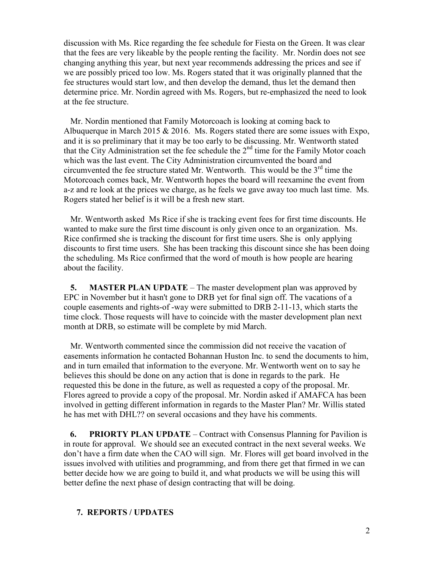discussion with Ms. Rice regarding the fee schedule for Fiesta on the Green. It was clear that the fees are very likeable by the people renting the facility. Mr. Nordin does not see changing anything this year, but next year recommends addressing the prices and see if we are possibly priced too low. Ms. Rogers stated that it was originally planned that the fee structures would start low, and then develop the demand, thus let the demand then determine price. Mr. Nordin agreed with Ms. Rogers, but re-emphasized the need to look at the fee structure.

Mr. Nordin mentioned that Family Motorcoach is looking at coming back to Albuquerque in March 2015  $& 2016$ . Ms. Rogers stated there are some issues with Expo, and it is so preliminary that it may be too early to be discussing. Mr. Wentworth stated that the City Administration set the fee schedule the  $2<sup>nd</sup>$  time for the Family Motor coach which was the last event. The City Administration circumvented the board and circumvented the fee structure stated Mr. Wentworth. This would be the  $3<sup>rd</sup>$  time the Motorcoach comes back, Mr. Wentworth hopes the board will reexamine the event from a-z and re look at the prices we charge, as he feels we gave away too much last time. Ms. Rogers stated her belief is it will be a fresh new start.

Mr. Wentworth asked Ms Rice if she is tracking event fees for first time discounts. He wanted to make sure the first time discount is only given once to an organization. Ms. Rice confirmed she is tracking the discount for first time users. She is only applying discounts to first time users. She has been tracking this discount since she has been doing the scheduling. Ms Rice confirmed that the word of mouth is how people are hearing about the facility.

**5. MASTER PLAN UPDATE** – The master development plan was approved by EPC in November but it hasn't gone to DRB yet for final sign off. The vacations of a couple easements and rights-of -way were submitted to DRB 2-11-13, which starts the time clock. Those requests will have to coincide with the master development plan next month at DRB, so estimate will be complete by mid March.

Mr. Wentworth commented since the commission did not receive the vacation of easements information he contacted Bohannan Huston Inc. to send the documents to him, and in turn emailed that information to the everyone. Mr. Wentworth went on to say he believes this should be done on any action that is done in regards to the park. He requested this be done in the future, as well as requested a copy of the proposal. Mr. Flores agreed to provide a copy of the proposal. Mr. Nordin asked if AMAFCA has been involved in getting different information in regards to the Master Plan? Mr. Willis stated he has met with DHL?? on several occasions and they have his comments.

**6. PRIORTY PLAN UPDATE** – Contract with Consensus Planning for Pavilion is in route for approval. We should see an executed contract in the next several weeks. We don't have a firm date when the CAO will sign. Mr. Flores will get board involved in the issues involved with utilities and programming, and from there get that firmed in we can better decide how we are going to build it, and what products we will be using this will better define the next phase of design contracting that will be doing.

## **7. REPORTS / UPDATES**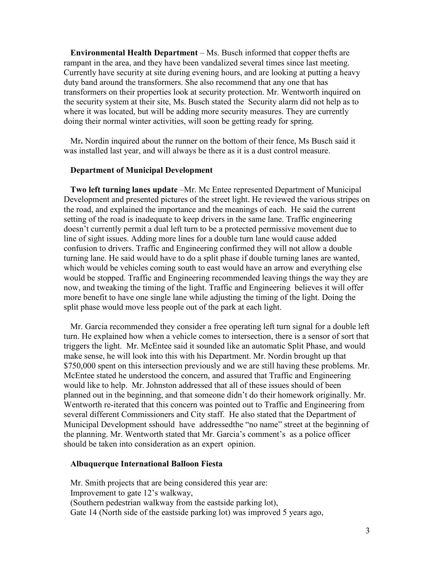**Environmental Health Department** – Ms. Busch informed that copper thefts are rampant in the area, and they have been vandalized several times since last meeting. Currently have security at site during evening hours, and are looking at putting a heavy duty band around the transformers. She also recommend that any one that has transformers on their properties look at security protection. Mr. Wentworth inquired on the security system at their site, Ms. Busch stated theSecurity alarm did not help as to where it was located, but will be adding more security measures. They are currently doing their normal winter activities, will soon be getting ready for spring.

Mr**.** Nordin inquired about the runner on the bottom of their fence, Ms Busch said it was installed last year, and will always be there as it is a dust control measure.

#### **Department of Municipal Development**

**Two left turning lanes update** –Mr. Mc Entee represented Department of Municipal Development and presented pictures of the street light. He reviewed the various stripes on the road, and explained the importance and the meanings of each. He said the current setting of the road is inadequate to keep drivers in the same lane. Traffic engineering doesn't currently permit a dual left turn to be a protected permissive movement due to line of sight issues. Adding more lines for a double turn lane would cause added confusion to drivers. Traffic and Engineering confirmed they will not allow a double turning lane. He said would have to do a split phase if double turning lanes are wanted, which would be vehicles coming south to east would have an arrow and everything else would be stopped. Traffic and Engineering recommended leaving things the way they are now, and tweaking the timing of the light. Traffic and Engineering believes it will offer more benefit to have one single lane while adjusting the timing of the light. Doing the split phase would move less people out of the park at each light.

Mr. Garcia recommended they consider a free operating left turn signal for a double left turn. He explained how when a vehicle comes to intersection, there is a sensor of sort that triggers the light. Mr. McEntee said it sounded like an automatic Split Phase, and would make sense, he will look into this with his Department. Mr. Nordin brought up that \$750,000 spent on this intersection previously and we are still having these problems. Mr. McEntee stated he understood the concern, and assured that Traffic and Engineering would like to help. Mr. Johnston addressed that all of these issues should of been planned out in the beginning, and that someone didn't do their homework originally. Mr. Wentworth re-iterated that this concern was pointed out to Traffic and Engineering from several different Commissioners and City staff. He also stated that the Department of Municipal Development sshould have addressedthe "no name" street at the beginning of the planning. Mr. Wentworth stated that Mr. Garcia's comment's as a police officer should be taken into consideration as an expert opinion.

# **Albuquerque International Balloon Fiesta**

Mr. Smith projects that are being considered this year are: Improvement to gate 12's walkway, (Southern pedestrian walkway from the eastside parking lot), Gate 14 (North side of the eastside parking lot) was improved 5 years ago,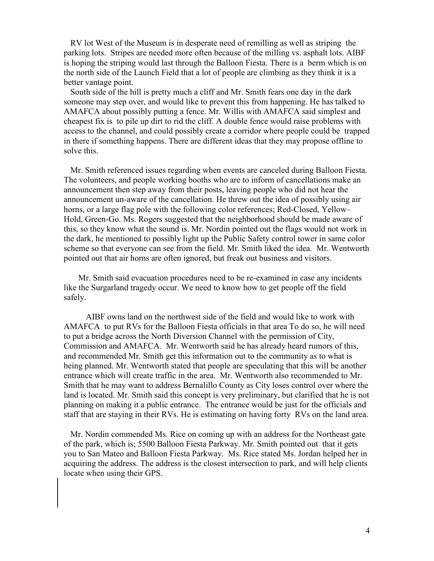RV lot West of the Museum is in desperate need of remilling as well as striping the parking lots. Stripes are needed more often because of the milling vs. asphalt lots. AIBF is hoping the striping would last through the Balloon Fiesta. There is a berm which is on the north side of the Launch Field that a lot of people are climbing as they think it is a better vantage point.

South side of the hill is pretty much a cliff and Mr. Smith fears one day in the dark someone may step over, and would like to prevent this from happening. He has talked to AMAFCA about possibly putting a fence. Mr. Willis with AMAFCA said simplest and cheapest fix is to pile up dirt to rid the cliff. A double fence would raise problems with access to the channel, and could possibly create a corridor where people could be trapped in there if something happens. There are different ideas that they may propose offline to solve this.

Mr. Smith referenced issues regarding when events are canceled during Balloon Fiesta. The volunteers, and people working booths who are to inform of cancellations make an announcement then step away from their posts, leaving people who did not hear the announcement un-aware of the cancellation. He threw out the idea of possibly using air horns, or a large flag pole with the following color references; Red-Closed, Yellow– Hold, Green-Go. Ms. Rogers suggested that the neighborhood should be made aware of this, so they know what the sound is. Mr. Nordin pointed out the flags would not work in the dark, he mentioned to possibly light up the Public Safety control tower in same color scheme so that everyone can see from the field. Mr. Smith liked the idea. Mr. Wentworth pointed out that air horns are often ignored, but freak out business and visitors.

 Mr. Smith said evacuation procedures need to be re-examined in case any incidents like the Surgarland tragedy occur. We need to know how to get people off the field safely.

 AIBF owns land on the northwest side of the field and would like to work with AMAFCA to put RVs for the Balloon Fiesta officials in that area To do so, he will need to put a bridge across the North Diversion Channel with the permission of City, Commission and AMAFCA. Mr. Wentworth said he has already heard rumors of this, and recommended Mr. Smith get this information out to the community as to what is being planned. Mr. Wentworth stated that people are speculating that this will be another entrance which will create traffic in the area. Mr. Wentworth also recommended to Mr. Smith that he may want to address Bernalillo County as City loses control over where the land is located. Mr. Smith said this concept is very preliminary, but clarified that he is not planning on making it a public entrance. The entrance would be just for the officials and staff that are staying in their RVs. He is estimating on having forty RVs on the land area.

Mr. Nordin commended Ms. Rice on coming up with an address for the Northeast gate of the park, which is; 5500 Balloon Fiesta Parkway. Mr. Smith pointed out that it gets you to San Mateo and Balloon Fiesta Parkway. Ms. Rice stated Ms. Jordan helped her in acquiring the address. The address is the closest intersection to park, and will help clients locate when using their GPS.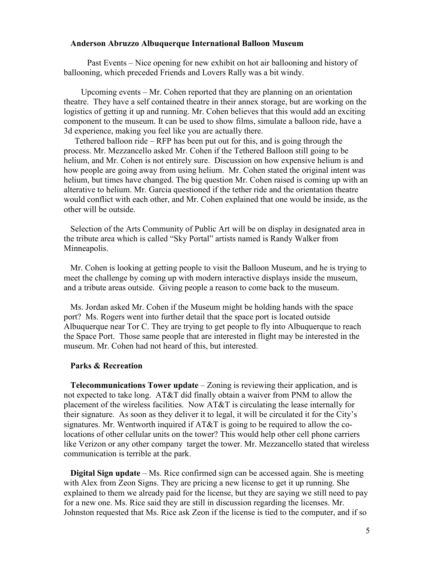#### **Anderson Abruzzo Albuquerque International Balloon Museum**

 Past Events – Nice opening for new exhibit on hot air ballooning and history of ballooning, which preceded Friends and Lovers Rally was a bit windy.

 Upcoming events – Mr. Cohen reported that they are planning on an orientation theatre. They have a self contained theatre in their annex storage, but are working on the logistics of getting it up and running. Mr. Cohen believes that this would add an exciting component to the museum. It can be used to show films, simulate a balloon ride, have a 3d experience, making you feel like you are actually there.

 Tethered balloon ride – RFP has been put out for this, and is going through the process. Mr. Mezzancello asked Mr. Cohen if the Tethered Balloon still going to be helium, and Mr. Cohen is not entirely sure. Discussion on how expensive helium is and how people are going away from using helium. Mr. Cohen stated the original intent was helium, but times have changed. The big question Mr. Cohen raised is coming up with an alterative to helium. Mr. Garcia questioned if the tether ride and the orientation theatre would conflict with each other, and Mr. Cohen explained that one would be inside, as the other will be outside.

Selection of the Arts Community of Public Art will be on display in designated area in the tribute area which is called "Sky Portal" artists named is Randy Walker from Minneapolis.

Mr. Cohen is looking at getting people to visit the Balloon Museum, and he is trying to meet the challenge by coming up with modern interactive displays inside the museum, and a tribute areas outside. Giving people a reason to come back to the museum.

Ms. Jordan asked Mr. Cohen if the Museum might be holding hands with the space port? Ms. Rogers went into further detail that the space port is located outside Albuquerque near Tor C. They are trying to get people to fly into Albuquerque to reach the Space Port. Those same people that are interested in flight may be interested in the museum. Mr. Cohen had not heard of this, but interested.

## **Parks & Recreation**

**Telecommunications Tower update** – Zoning is reviewing their application, and is not expected to take long. AT&T did finally obtain a waiver from PNM to allow the placement of the wireless facilities. Now  $AT&T$  is circulating the lease internally for their signature. As soon as they deliver it to legal, it will be circulated it for the City's signatures. Mr. Wentworth inquired if  $AT&T$  is going to be required to allow the colocations of other cellular units on the tower? This would help other cell phone carriers like Verizon or any other company target the tower. Mr. Mezzancello stated that wireless communication is terrible at the park.

**Digital Sign update** – Ms. Rice confirmed sign can be accessed again. She is meeting with Alex from Zeon Signs. They are pricing a new license to get it up running. She explained to them we already paid for the license, but they are saying we still need to pay for a new one. Ms. Rice said they are still in discussion regarding the licenses. Mr. Johnston requested that Ms. Rice ask Zeon if the license is tied to the computer, and if so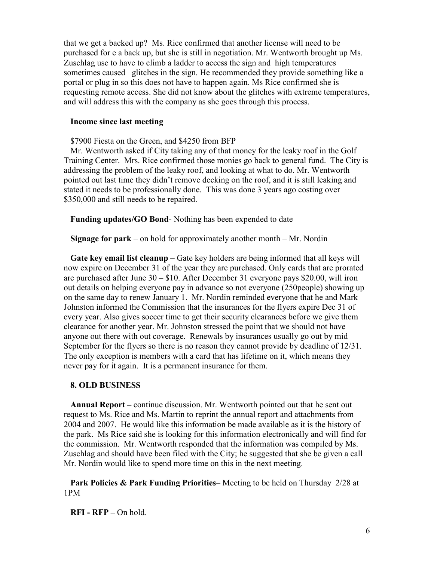that we get a backed up? Ms. Rice confirmed that another license will need to be purchased for e a back up, but she is still in negotiation. Mr. Wentworth brought up Ms. Zuschlag use to have to climb a ladder to access the sign and high temperatures sometimes caused glitches in the sign. He recommended they provide something like a portal or plug in so this does not have to happen again. Ms Rice confirmed she is requesting remote access. She did not know about the glitches with extreme temperatures, and will address this with the company as she goes through this process.

#### **Income since last meeting**

\$7900 Fiesta on the Green, and \$4250 from BFP

Mr. Wentworth asked if City taking any of that money for the leaky roof in the Golf Training Center. Mrs. Rice confirmed those monies go back to general fund. The City is addressing the problem of the leaky roof, and looking at what to do. Mr. Wentworth pointed out last time they didn't remove decking on the roof, and it is still leaking and stated it needs to be professionally done. This was done 3 years ago costing over \$350,000 and still needs to be repaired.

**Funding updates/GO Bond**- Nothing has been expended to date

**Signage for park** – on hold for approximately another month – Mr. Nordin

**Gate key email list cleanup** – Gate key holders are being informed that all keys will now expire on December 31 of the year they are purchased. Only cards that are prorated are purchased after June 30 – \$10. After December 31 everyone pays \$20.00, will iron out details on helping everyone pay in advance so not everyone (250people) showing up on the same day to renew January 1. Mr. Nordin reminded everyone that he and Mark Johnston informed the Commission that the insurances for the flyers expire Dec 31 of every year. Also gives soccer time to get their security clearances before we give them clearance for another year. Mr. Johnston stressed the point that we should not have anyone out there with out coverage. Renewals by insurances usually go out by mid September for the flyers so there is no reason they cannot provide by deadline of 12/31. The only exception is members with a card that has lifetime on it, which means they never pay for it again. It is a permanent insurance for them.

## **8. OLD BUSINESS**

**Annual Report –** continue discussion. Mr. Wentworth pointed out that he sent out request to Ms. Rice and Ms. Martin to reprint the annual report and attachments from 2004 and 2007. He would like this information be made available as it is the history of the park. Ms Rice said she is looking for this information electronically and will find for the commission. Mr. Wentworth responded that the information was compiled by Ms. Zuschlag and should have been filed with the City; he suggested that she be given a call Mr. Nordin would like to spend more time on this in the next meeting.

**Park Policies & Park Funding Priorities**– Meeting to be held on Thursday 2/28 at 1PM

**RFI - RFP –** On hold.